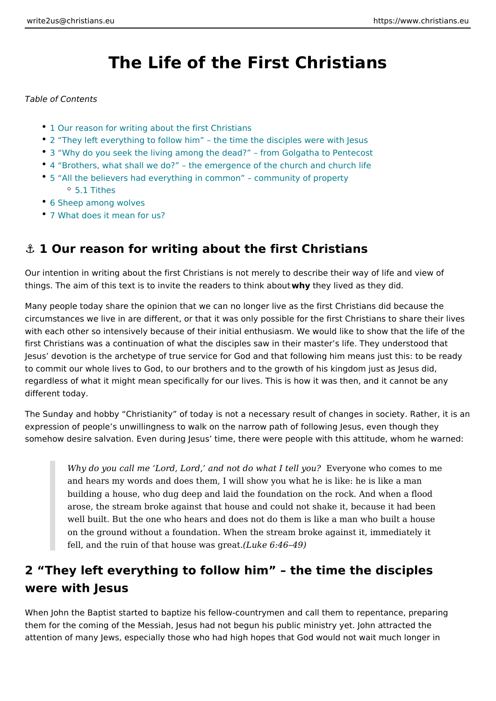# The Life of the First Christians

Table of Contents

- 1 Our reason for writing about the first Christians
- 2 They left everything to follow him the time the disciples were with Jesus
- 3 Why do you seek the living among the dead? from Golgatha to Pentecos
- 4 Brothers, what shall we do? the emergence of the church and church lif
- 5 All the believers had everything in common community of property [5.1 Tit](#page-7-0)hes
- [6 Sheep among w](#page-8-0)olves
- [7 What does it mean](#page-8-0) for us?

### &" 1 Our reason for writing about the first Christians

Our intention in writing about the first Christians is not merely to describe their things. The aim of this text is to invite the readers the think abountey did.

Many people today share the opinion that we can no longer live as the first Chri circumstances we live in are different, or that it was only possible for the first ( with each other so intensively because of their initial enthusiasm. We would like first Christians was a continuation of what the disciples saw in their master s lif Jesus devotion is the archetype of true service for God and that following him r to commit our whole lives to God, to our brothers and to the growth of his kingde regardless of what it might mean specifically for our lives. This is how it was th different today.

The Sunday and hobby Christianity of today is not a necessary result of change expression of people s unwillingness to walk on the narrow path of following Jes somehow desire salvation. Even during Jesus time, there were people with this

Why do you call me Lord, Lord, and not do Ewheaty olntee My hyco we omes to me and hears my words and does them, I will show you what he is like: he i building a house, who dug deep and laid the foundation on the rock. And arose, the stream broke against that house and could not shake it, beca well built. But the one who hears and does not do them is like a man wh on the ground without a foundation. When the stream broke against it, i fell, and the ruin of that hous  $el$  whas  $Q$ :  $4eQ$   $t4.9$ )

# 2 They left everything to follow him the time the disc were with Jesus

When John the Baptist started to baptize his fellow-countrymen and call them to them for the coming of the Messiah, Jesus had not begun his public ministry yet. attention of many Jews, especially those who had high hopes that God would not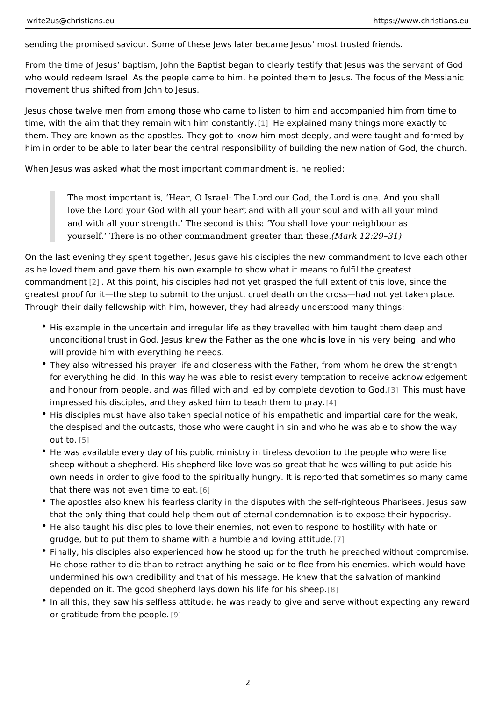sending the promised saviour. Some of these Jews later became Jesus most trust

From the time of Jesus baptism, John the Baptist began to clearly testify that J who would redeem Israel. As the people came to him, he pointed them to Jesus. movement thus shifted from John to Jesus.

Jesus chose twelve men from among those who came to listen to him and accomp time, with the aim that they remain with  $\left| \mathbf{h} \right|$  in the coen spot an interpolant many things more exactly them. They are known as the apostles. They got to know him most deeply, and w him in order to be able to later bear the central responsibility of building the ne

When Jesus was asked what the most important commandment is, he replied:

The most important is, Hear, O Israel: The Lord our God, the Lord is on love the Lord your God with all your heart and with all your soul and wi and with all your strength. The second is this: You shall love your nei yourself. There is no other commandment greed a the a 29 the edge.

On the last evening they spent together, Jesus gave his disciples the new comma as he loved them and gave them his own example to show what it means to fulfil commandme $n$ t. At this point, his disciples had not yet grasped the full ext[en](#page-10-0)t of greatest proof for it the step to submit to the unjust, cruel death on the cross had Through their daily fellowship with him, however, they had already understood m

- His example in the uncertain and irregular life as they travelled with him tau unconditional trust in God. Jesus knew the Faibeovæsithbione e myhbeing, and w will provide him with everything he needs.
- \* They also witnessed his prayer life and closeness with the Father, from who for everything he did. In this way he was able to resist every temptation to and honour from people, and was filled with and led by c[omp](#page-10-0)leties dreew stibavted impressed his disciples, and they asked him to  $A$  ach them to pray.
- $\bullet$  His disciples must have also taken special notice of his empathetic and impa the despised and the outcasts, those who were caught in sin and who he was  $o$  ut to $5$ ]
- He was available every day of his public ministry in tireless devotion to the sheep without a shepherd. His shepherd-like love was so great that he was w own needs in order to give food to the spiritually hungry. It is reported that that there was not even t[ime](#page-10-0) to eat.
- \* The apostles also knew his fearless clarity in the disputes with the self-righ that the only thing that could help them out of eternal condemnation is to expose
- \* He also taught his disciples to love their enemies, not even to respond to he grudge, but to put them to shame with a humble [an](#page-10-0)d loving attitude.
- Finally, his disciples also experienced how he stood up for the truth he prea He chose rather to die than to retract anything he said or to flee from his en undermined his own credibility and that of his message. He knew that the sa depended on it. The good shepherd lays down [his](#page-10-0) life for his sheep.
- In all this, they saw his selfless attitude: he was ready to give and serve wi or gratitude from the  $\mathfrak p$  eople.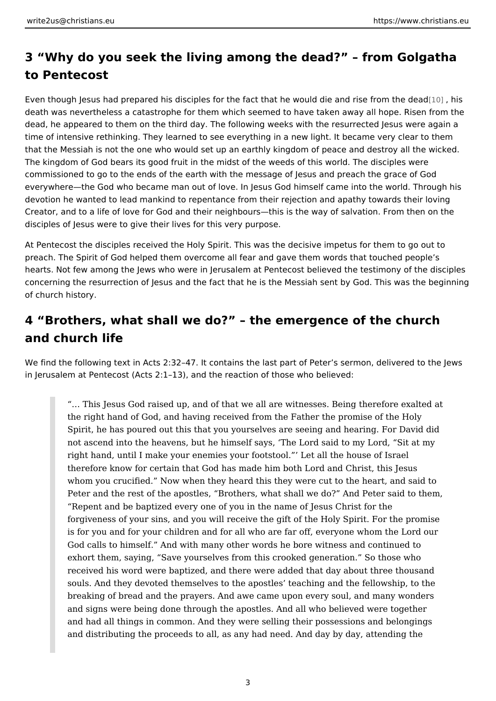# 3 Why do you seek the living among the dead? from G to Pentecost

Even though Jesus had prepared his disciples for the fact that he w[ould](#page-10-0) didesand death was nevertheless a catastrophe for them which seemed to have taken away dead, he appeared to them on the third day. The following weeks with the resurr time of intensive rethinking. They learned to see everything in a new light. It be that the Messiah is not the one who would set up an earthly kingdom of peace ar The kingdom of God bears its good fruit in the midst of the weeds of this world. commissioned to go to the ends of the earth with the message of Jesus and prea everywhere the God who became man out of love. In Jesus God himself came into devotion he wanted to lead mankind to repentance from their rejection and apath Creator, and to a life of love for God and their neighbours this is the way of sal disciples of Jesus were to give their lives for this very purpose.

At Pentecost the disciples received the Holy Spirit. This was the decisive impetu preach. The Spirit of God helped them overcome all fear and gave them words th hearts. Not few among the Jews who were in Jerusalem at Pentecost believed the concerning the resurrection of Jesus and the fact that he is the Messiah sent by of church history.

### 4 Brothers, what shall we do? the emergence of the church and church life

We find the following text in Acts 2:32 47. It contains the last part of Peter s se in Jerusalem at Pentecost (Acts 2:1 13), and the reaction of those who believed:

& This Jesus God raised up, and of that we all are witnesses. Being th the right hand of God, and having received from the Father the promise Spirit, he has poured out this that you yourselves are seeing and hearing. not ascend into the heavens, but he himself says, The Lord said to my right hand, until I make your enemies your footstool. Let all the house therefore know for certain that God has made him both Lord and Christ, whom you crucified. Now when they heard this they were cut to the hea Peter and the rest of the apostles, Brothers, what shall we do? And  $P\left(\mathbf{r}\right)$ Repent and be baptized every one of you in the name of Jesus Christ for forgiveness of your sins, and you will receive the gift of the Holy Spirit is for you and for your children and for all who are far off, everyone wh God calls to himself. And with many other words he bore witness and c exhort them, saying, Save yourselves from this crooked generation. So received his word were baptized, and there were added that day about t souls. And they devoted themselves to the apostles teaching and the fe breaking of bread and the prayers. And awe came upon every soul, and and signs were being done through the apostles. And all who believed w and had all things in common. And they were selling their possessions a and distributing the proceeds to all, as any had need. And day by day, a

3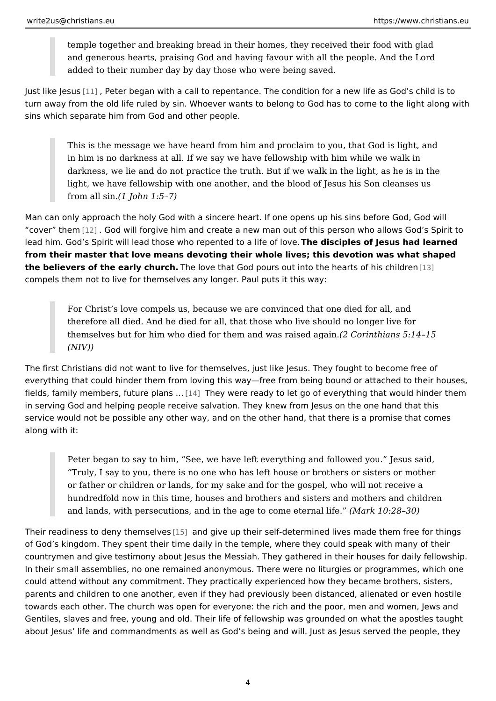temple together and breaking bread in their homes, they received their and generous hearts, praising God and having favour with all the people added to their number day by day those who were being saved.

Just like [Jes](#page-10-0)us Peter began with a call to repentance. The condition for a new life turn away from the old life ruled by sin. Whoever wants to belong to God has to sins which separate him from God and other people.

This is the message we have heard from him and proclaim to you, that G in him is no darkness at all. If we say we have fellowship with him while darkness, we lie and do not practice the truth. But if we walk in the light light, we have fellowship with one another, and the blood of Jesus his S from all  $$1nJohn 1:5 7)$ 

Man can only approach the holy God with a sincere heart. If one opens up his si cover t[hem](#page-10-0) all God will forgive him and create a new man out of this person who lead him. God s Spirit will lead those who repentheed diosaiplifees oofflobeweus had learne from their master that love means devoting their whole lives; this devotion was w the believers of the early chuechove that God pours out into the he[arts](#page-10-0) of his chi compels them not to live for themselves any longer. Paul puts it this way:

For Christ s love compels us, because we are convinced that one died f therefore all died. And he died for all, that those who live should no lor themselves but for him who died for them and  $Qa\text{S}$  orrains  $b\text{d}a\text{a}\text{g}$  as 5:14 15  $(NIV)$ 

The first Christians did not want to live for themselves, just like Jesus. They for everything that could hinder them from loving this way free from being bound or fields, family members, futu $[14]$  plans & ere ready to let go of everything that woul in serving God and helping people receive salvation. They knew from Jesus on th service would not be possible any other way, and on the other hand, that there i along with it:

Peter began to say to him, See, we have left everything and followed y Truly, I say to you, there is no one who has left house or brothers or s or father or children or lands, for my sake and for the gospel, who will hundredfold now in this time, houses and brothers and sisters and moth and lands, with persecutions, and in the age to  $(\&$  bank  $\&$  0e  $\n 2 \&$  30) fe.

Their readiness to deny [them](#page-10-0) sab wesve up their self-determined lives made them f of God s kingdom. They spent their time daily in the temple, where they could sp countrymen and give testimony about Jesus the Messiah. They gathered in their In their small assemblies, no one remained anonymous. There were no liturgies or could attend without any commitment. They practically experienced how they bec parents and children to one another, even if they had previously been distanced, towards each other. The church was open for everyone: the rich and the poor, men Gentiles, slaves and free, young and old. Their life of fellowship was grounded on about Jesus life and commandments as well as God s being and will. Just as Je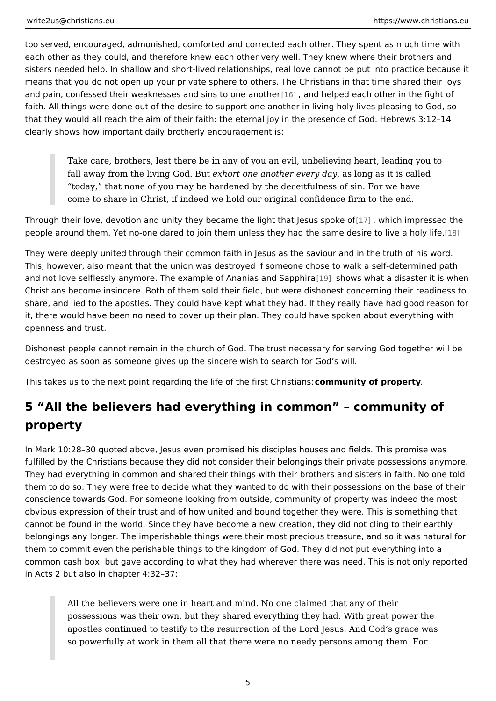too served, encouraged, admonished, comforted and corrected each other. They each other as they could, and therefore knew each other very well. They knew w sisters needed help. In shallow and short-lived relationships, real love cannot b means that you do not open up your private sphere to others. The Christians in t and pain, confessed their weaknesses and [sins](#page-10-0), tanod bedped heach other in the fig faith. All things were done out of the desire to support one another in living holy that they would all reach the aim of their faith: the eternal joy in the presence of clearly shows how important daily brotherly encouragement is:

Take care, brothers, lest there be in any of you an evil, unbelieving heart fall away from the living e Colocit Bounte another eyeary lobanyg as it is called today, that none of you may be hardened by the deceitfulness of sin. I come to share in Christ, if indeed we hold our original confidence firm t

Through their love, devotion and unity they became the ligtħt twhhait bleismups resspsoekde tohn people around them. Yet no-one dared to join them unless they had the stasme des

They were deeply united through their common faith in Jesus as the saviour and This, however, also meant that the union was destroyed if someone chose to wal and not love selflessly anymore. The example of [Ana](#page-10-0)nish and Sappahdia aster it is Christians become insincere. Both of them sold their field, but were dishonest  $c_0$ share, and lied to the apostles. They could have kept what they had. If they real it, there would have been no need to cover up their plan. They could have spoke openness and trust.

Dishonest people cannot remain in the church of God. The trust necessary for se destroyed as soon as someone gives up the sincere wish to search for God s will.

This takes us to the next point regarding the life obmmeu hintsyt of hpristiantsy:

# 5 All the believers had everything in common commun property

In Mark 10:28 30 quoted above, Jesus even promised his disciples houses and fi fulfilled by the Christians because they did not consider their belongings their p They had everything in common and shared their things with their brothers and s them to do so. They were free to decide what they wanted to do with their posse conscience towards God. For someone looking from outside, community of proper obvious expression of their trust and of how united and bound together they wer cannot be found in the world. Since they have become a new creation, they did n belongings any longer. The imperishable things were their most precious treasur them to commit even the perishable things to the kingdom of God. They did not p common cash box, but gave according to what they had wherever there was need in Acts 2 but also in chapter 4:32 37:

All the believers were one in heart and mind. No one claimed that any o possessions was their own, but they shared everything they had. With g apostles continued to testify to the resurrection of the Lord Jesus. And so powerfully at work in them all that there were no needy persons amo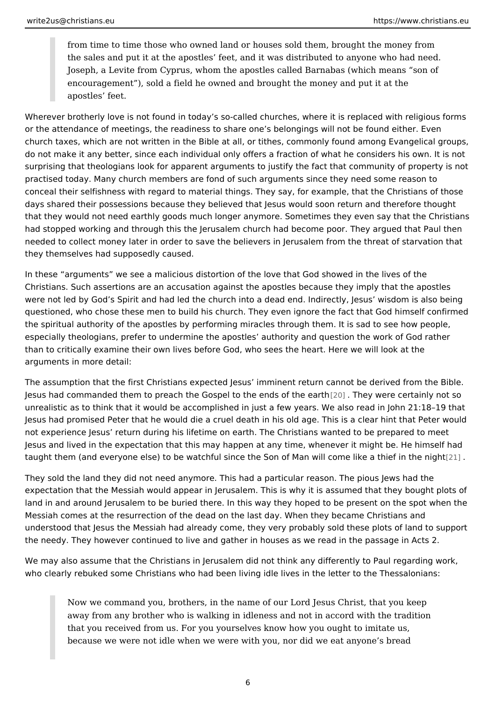from time to time those who owned land or houses sold them, brought th the sales and put it at the apostles feet, and it was distributed to anyon Joseph, a Levite from Cyprus, whom the apostles called Barnabas (whic encouragement), sold a field he owned and brought the money and put apostles feet.

Wherever brotherly love is not found in today s so-called churches, where it is r or the attendance of meetings, the readiness to share one s belongings will not church taxes, which are not written in the Bible at all, or tithes, commonly found do not make it any better, since each individual only offers a fraction of what he surprising that theologians look for apparent arguments to justify the fact that c practised today. Many church members are fond of such arguments since they ne conceal their selfishness with regard to material things. They say, for example, days shared their possessions because they believed that Jesus would soon retu that they would not need earthly goods much longer anymore. Sometimes they ev had stopped working and through this the Jerusalem church had become poor. Th needed to collect money later in order to save the believers in Jerusalem from th they themselves had supposedly caused.

In these arguments we see a malicious distortion of the love that God showed i Christians. Such assertions are an accusation against the apostles because they were not led by God s Spirit and had led the church into a dead end. Indirectly, questioned, who chose these men to build his church. They even ignore the fact the spiritual authority of the apostles by performing miracles through them. It is especially theologians, prefer to undermine the apostles authority and question than to critically examine their own lives before God, who sees the heart. Here w arguments in more detail:

The assumption that the first Christians expected Jesus imminent return cannot Jesus had commanded [the](#page-10-0)m to preach the Gospel to the eThindesy own ethnee ceearthe hinly not unrealistic as to think that it would be accomplished in just a few years. We also Jesus had promised Peter that he would die a cruel death in his old age. This is not experience Jesus return during his lifetime on earth. The Christians wanted Jesus and lived in the expectation that this may happen at any time, whenever it taught them (and everyone else) to be watchful since the Son of Man wil the nel

They sold the land they did not need anymore. This had a particular reason. The expectation that the Messiah would appear in Jerusalem. This is why it is assum land in and around Jerusalem to be buried there. In this way they hoped to be pr Messiah comes at the resurrection of the dead on the last day. When they becam understood that Jesus the Messiah had already come, they very probably sold th the needy. They however continued to live and gather in houses as we read in th

We may also assume that the Christians in Jerusalem did not think any different who clearly rebuked some Christians who had been living idle lives in the letter

Now we command you, brothers, in the name of our Lord Jesus Christ, t away from any brother who is walking in idleness and not in accord with that you received from us. For you yourselves know how you ought to im because we were not idle when we were with you, nor did we eat anyone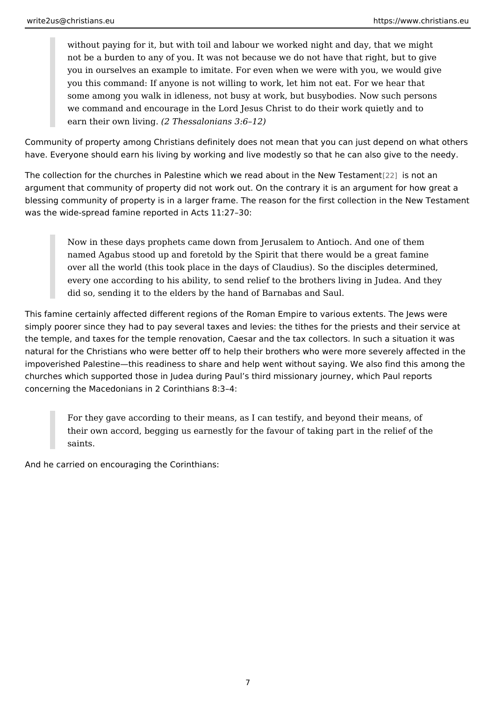without paying for it, but with toil and labour we worked night and day, not be a burden to any of you. It was not because we do not have that r you in ourselves an example to imitate. For even when we were with you you this command: If anyone is not willing to work, let him not eat. For some among you walk in idleness, not busy at work, but busybodies. No we command and encourage in the Lord Jesus Christ to do their work qu earn their own  $\sqrt{2}$  Thessalonians 3:6 12)

Community of property among Christians definitely does not mean that you can ju have. Everyone should earn his living by working and live modestly so that he ca

The collection for the churches in Palestine which we read ab put is not be a Nhew Test argument that community of property did not work out. On the contrary it is an a blessing community of property is in a larger frame. The reason for the first coll was the wide-spread famine reported in Acts 11:27 30:

Now in these days prophets came down from Jerusalem to Antioch. And named Agabus stood up and foretold by the Spirit that there would be a over all the world (this took place in the days of Claudius). So the disc every one according to his ability, to send relief to the brothers living in did so, sending it to the elders by the hand of Barnabas and Saul.

This famine certainly affected different regions of the Roman Empire to various simply poorer since they had to pay several taxes and levies: the tithes for the the temple, and taxes for the temple renovation, Caesar and the tax collectors. natural for the Christians who were better off to help their brothers who were mo impoverished Palestine this readiness to share and help went without saying. We churches which supported those in Judea during Paul s third missionary journey, concerning the Macedonians in 2 Corinthians 8:3 4:

For they gave according to their means, as I can testify, and beyond the their own accord, begging us earnestly for the favour of taking part in t saints.

And he carried on encouraging the Corinthians:

7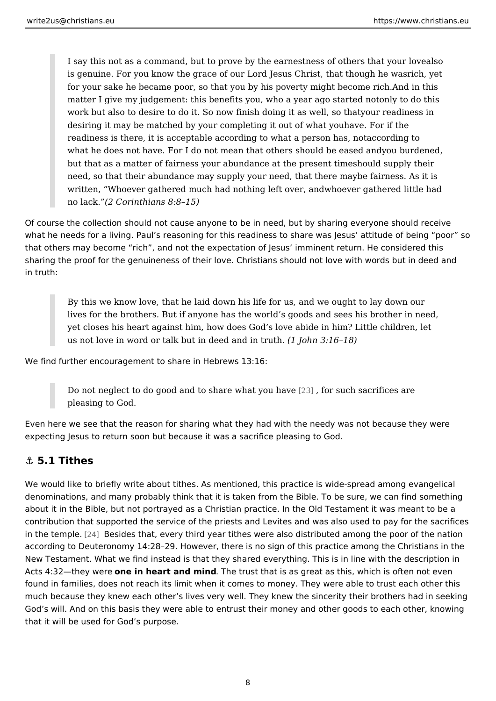<span id="page-7-0"></span>I say this not as a command, but to prove by the earnestnes also fothers is genuine. For you know the grace of our Lord Jesus Chriscth, thet though for your sake he became poor, so that you by his poverAt g dmiing hthibsecome matter I give my judgement: this benefits you, who aoyne art a got constrainted not work but also to desire to do it. So now finish doiynoguritr**aa** dwine-belss sion that desiring it may be matched by your completing hiaveut Foodr whaheyou readiness is there, it is acceptable according to what cardpings to has, not what he does not have. For I do not mean that others you bound dhe meed and you but and you but and you but an but that as a matter of fairness your abundance sahtotuhled psuepspely tthieme need, so that their abundance may supply your needf, athmae stshe Ass mitally s written, Whoever gathered much had nothingh beefwteory geatheemed little had no lack<sup>2</sup> Corinthians 8:8 15)

Of course the collection should not cause anyone to be in need, but by sharing  $\epsilon$ what he needs for a living. Paul s reasoning for this readiness to share was Jes that others may become rich, and not the expectation of Jesus imminent returr sharing the proof for the genuineness of their love. Christians should not love w in truth:

By this we know love, that he laid down his life for us, and we ought to lives for the brothers. But if anyone has the world s goods and sees his yet closes his heart against him, how does God s love abide in him? Lit us not love in word or talk but in dee(d1 almoch min 3trlu6th. 8)

We find further encouragement to share in Hebrews 13:16:

Do not neglect to do good and to share [208]h, afto yo suu ba la veea crifices are pleasing to God.

Even here we see that the reason for sharing what they had with the needy was not because they were expecting Jesus to return soon but because it was a sacrifice pleasing to God.

#### &" 5.1 Tithes

We would like to briefly write about tithes. As mentioned, this practice is wide-s denominations, and many probably think that it is taken from the Bible. To be sure about it in the Bible, but not portrayed as a Christian practice. In the Old Testa contribution that supported the service of the priests and Levites and was also u in the te[mple](#page-10-0). Besides that, every third year tithes were also distributed among t according to Deuteronomy 14:28 29. However, there is no sign of this practice a New Testament. What we find instead is that they shared everything. This is in I Acts 4:32 they weeein heart and minde trust that is as great as this, which is oft found in families, does not reach its limit when it comes to money. They were ab much because they knew each other s lives very well. They knew the sincerity th God s will. And on this basis they were able to entrust their money and other go that it will be used for God s purpose.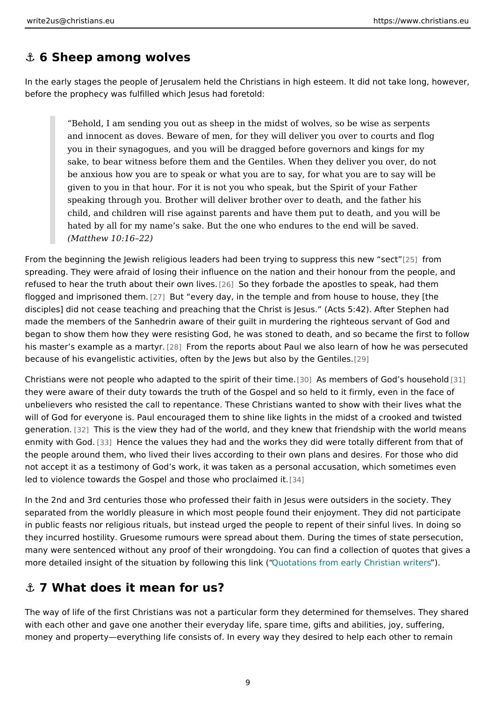### <span id="page-8-0"></span>&" 6 Sheep among wolves

In the early stages the people of Jerusalem held the Christians in high esteem. before the prophecy was fulfilled which Jesus had foretold:

Behold, I am sending you out as sheep in the midst of wolves, so be wi and innocent as doves. Beware of men, for they will deliver you over to you in their synagogues, and you will be dragged before governors and sake, to bear witness before them and the Gentiles. When they deliver  $\overline{y}$ be anxious how you are to speak or what you are to say, for what you a given to you in that hour. For it is not you who speak, but the Spirit of speaking through you. Brother will deliver brother over to death, and th child, and children will rise against parents and have them put to death hated by all for my name s sake. But the one who endures to the end will (Matthew 10:16 22)

From the beginning the Jewish religious leaders had been trying  $\infty$  sfupporess this spreading. They were afraid of losing their influence on the nation and their hon refused to hear the truth about t[heir](#page-10-0) **S**wntheweforbade the apostles to speak, had flogged and imprisone d at the muth every day, in the temple and from house to house, disciples] did not cease teaching and preaching that the Christ is Jesus. (Acts made the members of the Sanhedrin aware of their guilt in murdering the righteo began to show them how they were resisting God, he was stoned to death, and so his master s example as  $[28]$  m article reports about Paul we also learn of how he because of his evangelistic activities, often by the Jews posut also by the Gentiles

Christians were not people who adapted to the sqiries or teth bersion fe God s hos useho they were aware of their duty towards the truth of the Gospel and so held to it fi unbelievers who resisted the call to repentance. These Christians wanted to sho will of God for everyone is. Paul encouraged them to shine like lights in the mid generat[ion.](#page-10-0) This is the view they had of the world, and they knew that friendship enmity with Good. Hence the values they had and the works they did were totally d the people around them, who lived their lives according to their own plans and d not accept it as a testimony of God s work, it was taken as a personal accusatio led to violence towards the Gospel and those Who proclaimed it.

In the 2nd and 3rd centuries those who professed their faith in Jesus were outsi separated from the worldly pleasure in which most people found their enjoyment. in public feasts nor religious rituals, but instead urged the people to repent of t they incurred hostility. Gruesome rumours were spread about them. During the ti many were sentenced without any proof of their wrongdoing. You can find a colle moredetailed insight of the situation by followint gothsis rlamk e(arly Christ) ian writer

### &" 7 What does it mean for us?

The way of life of the first Christians was not a particular form they determined with each other and gave one another their everyday life, spare time, gifts and a money and property everything life consists of. In every way they desired to help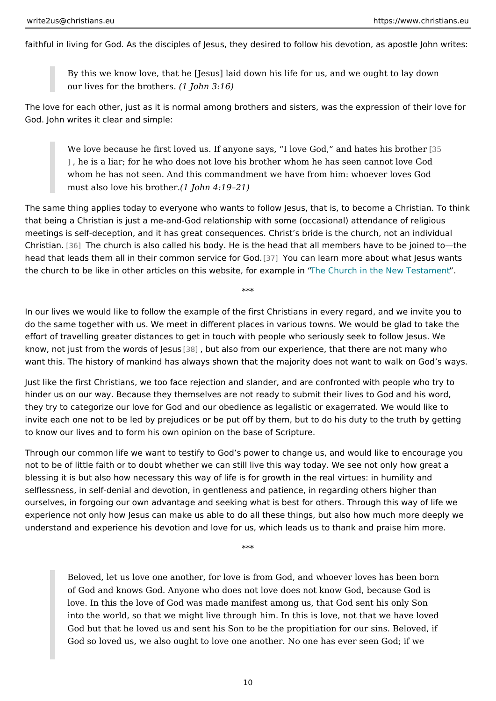faithful in living for God. As the disciples of Jesus, they desired to follow his de

By this we know love, that he [Jesus] laid down his life for us, and we o our lives for the br(ofth $\tan 3:16$ )

The love for each other, just as it is normal among brothers and sisters, was the God. John writes it clear and simple:

We love because he first loved us. If anyone says, I love Go@5 and hat ], he is a liar; for he who does not love his brother whom he has seen c whom he has not seen. And this commandment we have from him: whoev must also love his  $b$ todobn.  $4:19$  21)

The same thing applies today to everyone who wants to follow Jesus, that is, to that being a Christian is just a me-and-God relationship with some (occasional) meetings is self-deception, and it has great consequences. Christ s bride is the Christians. The church is also called his body. He is the head that all members h head that leads them all in their commo[n se](#page-11-0)rvice of an Geoadn more about what Jesu the church to be like in other articles on this website Chorcenxample New Testame

\*\*\*

In our lives we would like to follow the example of the first Christians in every r do the same together with us. We meet in different places in various towns. We effort of travelling greater distances to get in touch with people who seriously s know, not just from the wo[rds](#page-11-0) obut also from our experience, that there are not want this. The history of mankind has always shown that the majority does not w

Just like the first Christians, we too face rejection and slander, and are confron hinder us on our way. Because they themselves are not ready to submit their live they try to categorize our love for God and our obedience as legalistic or exager invite each one not to be led by prejudices or be put off by them, but to do his d to know our lives and to form his own opinion on the base of Scripture.

Through our common life we want to testify to God s power to change us, and wo not to be of little faith or to doubt whether we can still live this way today. We s blessing it is but also how necessary this way of life is for growth in the real virtues:  $\frac{1}{100}$ selflessness, in self-denial and devotion, in gentleness and patience, in regardi ourselves, in forgoing our own advantage and seeking what is best for others. Th experience not only how Jesus can make us able to do all these things, but also understand and experience his devotion and love for us, which leads us to thank

\*\*\*

Beloved, let us love one another, for love is from God, and whoever lov of God and knows God. Anyone who does not love does not know God, b love. In this the love of God was made manifest among us, that God sen into the world, so that we might live through him. In this is love, not th God but that he loved us and sent his Son to be the propitiation for our God so loved us, we also ought to love one another. No one has ever se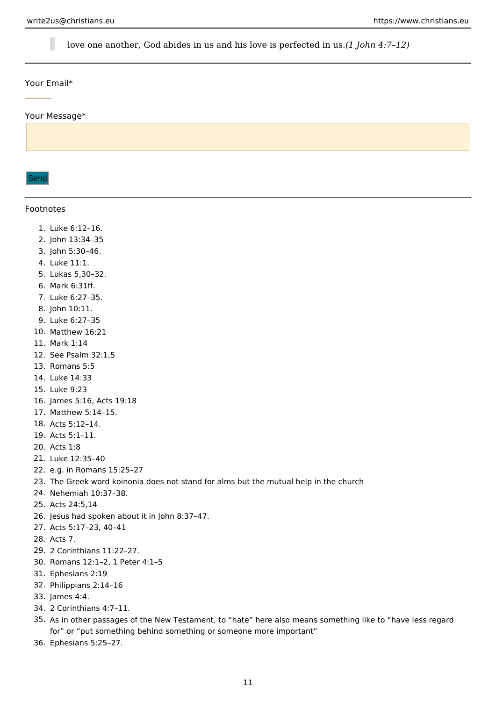<span id="page-10-0"></span>love one another, God abides in us and his love is perfected in us.*(1 John 4:7–12)*

#### Your Email\*

Your Message\*

Send

#### Footnotes

- 1. Luke 6:12–16.
- 2. John 13:34–35
- 3. John 5:30–46.
- 4. Luke 11:1.
- 5. Lukas 5,30–32.
- 6. Mark 6:31ff.
- 7. Luke 6:27–35.
- 8. John 10:11.
- 9. Luke 6:27–35
- 10. Matthew 16:21
- 11. Mark 1:14
- 12. See Psalm 32:1,5
- 13. Romans 5:5
- 14. Luke 14:33
- 15. Luke 9:23
- 16. James 5:16, Acts 19:18
- 17. Matthew 5:14–15.
- 18. Acts 5:12–14.
- 19. Acts 5:1–11.
- 20. Acts 1:8
- 21. Luke 12:35–40
- 22. e.g. in Romans 15:25–27
- 23. The Greek word koinonia does not stand for alms but the mutual help in the church
- 24. Nehemiah 10:37–38.
- 25. Acts 24:5,14
- 26. Jesus had spoken about it in John 8:37–47.
- 27. Acts 5:17–23, 40–41
- 28. Acts 7.
- 29. 2 Corinthians 11:22–27.
- 30. Romans 12:1–2, 1 Peter 4:1–5
- 31. Ephesians 2:19
- 32. Philippians 2:14–16
- 33. James 4:4.
- 34. 2 Corinthians 4:7–11.
- 35. As in other passages of the New Testament, to "hate" here also means something like to "have less regard for" or "put something behind something or someone more important"
- 36. Ephesians 5:25–27.